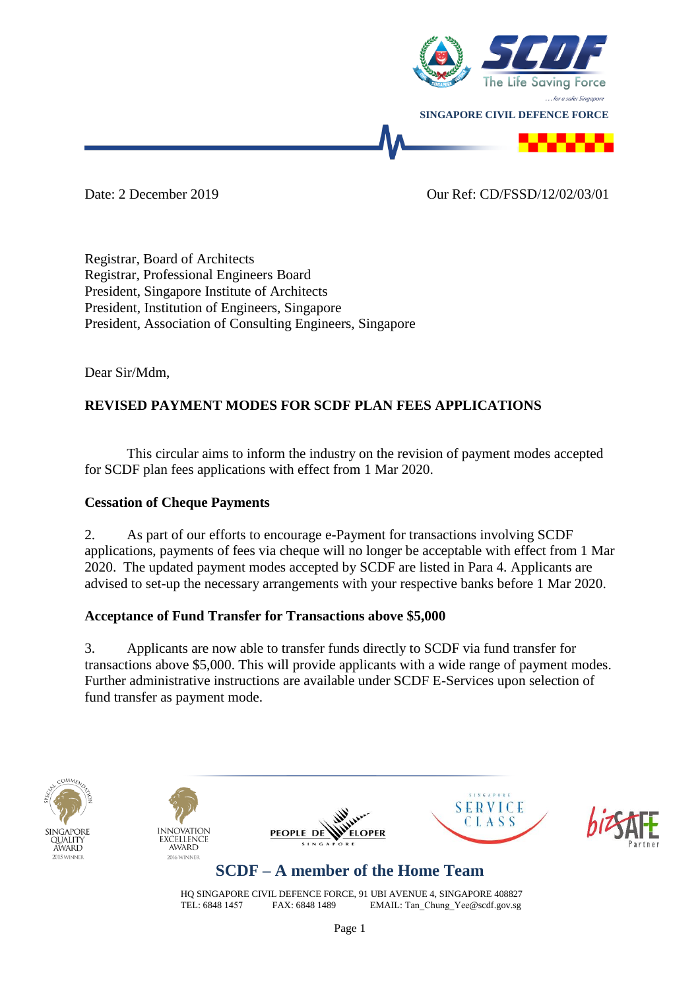

Date: 2 December 2019 Our Ref: CD/FSSD/12/02/03/01

Registrar, Board of Architects Registrar, Professional Engineers Board President, Singapore Institute of Architects President, Institution of Engineers, Singapore President, Association of Consulting Engineers, Singapore

Dear Sir/Mdm,

## **REVISED PAYMENT MODES FOR SCDF PLAN FEES APPLICATIONS**

This circular aims to inform the industry on the revision of payment modes accepted for SCDF plan fees applications with effect from 1 Mar 2020.

### **Cessation of Cheque Payments**

2. As part of our efforts to encourage e-Payment for transactions involving SCDF applications, payments of fees via cheque will no longer be acceptable with effect from 1 Mar 2020. The updated payment modes accepted by SCDF are listed in Para 4. Applicants are advised to set-up the necessary arrangements with your respective banks before 1 Mar 2020.

### **Acceptance of Fund Transfer for Transactions above \$5,000**

3. Applicants are now able to transfer funds directly to SCDF via fund transfer for transactions above \$5,000. This will provide applicants with a wide range of payment modes. Further administrative instructions are available under SCDF E-Services upon selection of fund transfer as payment mode.











# **SCDF – A member of the Home Team**

HQ SINGAPORE CIVIL DEFENCE FORCE, 91 UBI AVENUE 4, SINGAPORE 408827<br>TEL: 6848 1457 FAX: 6848 1489 EMAIL: Tan Chung Yee@scdf.gov.sg EMAIL: Tan Chung Yee@scdf.gov.sg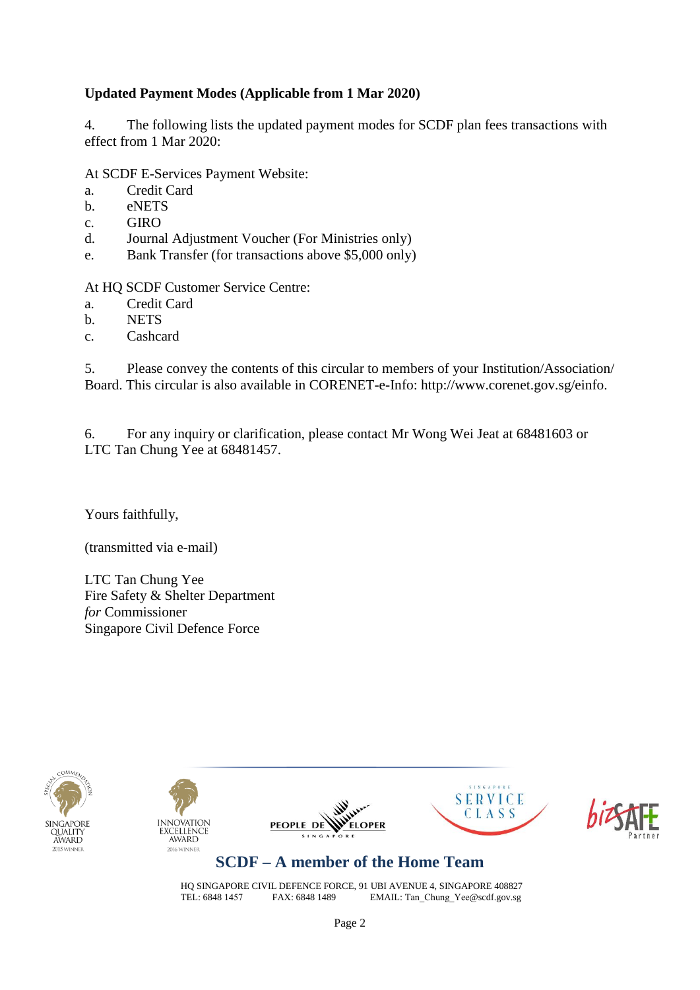### **Updated Payment Modes (Applicable from 1 Mar 2020)**

4. The following lists the updated payment modes for SCDF plan fees transactions with effect from 1 Mar 2020:

#### At SCDF E-Services Payment Website:

- a. Credit Card
- b. eNETS
- c. GIRO
- d. Journal Adjustment Voucher (For Ministries only)
- e. Bank Transfer (for transactions above \$5,000 only)

At HQ SCDF Customer Service Centre:

- a. Credit Card
- b. NETS
- c. Cashcard

5. Please convey the contents of this circular to members of your Institution/Association/ Board. This circular is also available in CORENET-e-Info: http://www.corenet.gov.sg/einfo.

6. For any inquiry or clarification, please contact Mr Wong Wei Jeat at 68481603 or LTC Tan Chung Yee at 68481457.

Yours faithfully,

(transmitted via e-mail)

LTC Tan Chung Yee Fire Safety & Shelter Department *for* Commissioner Singapore Civil Defence Force











## **SCDF – A member of the Home Team**

HQ SINGAPORE CIVIL DEFENCE FORCE, 91 UBI AVENUE 4, SINGAPORE 408827<br>TEL: 6848 1457 FAX: 6848 1489 EMAIL: Tan Chung Yee@scdf.gov.sg EMAIL: Tan\_Chung\_Yee@scdf.gov.sg